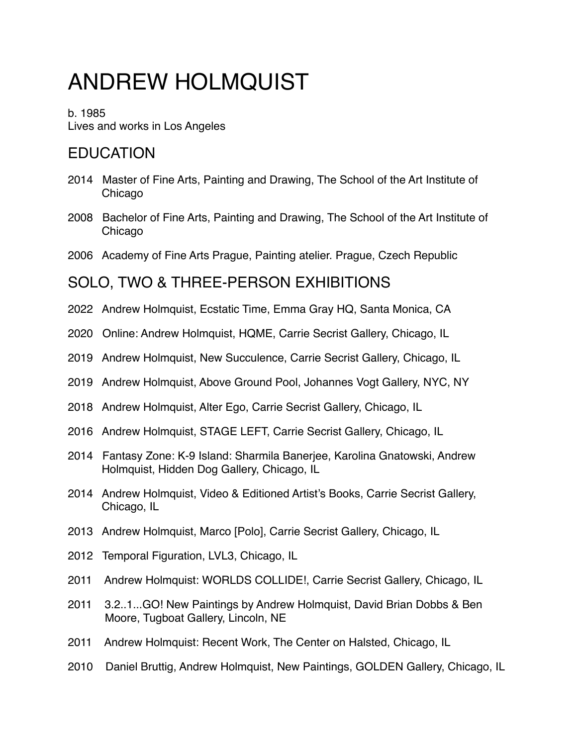# ANDREW HOLMQUIST

b. 1985 Lives and works in Los Angeles

## EDUCATION

- 2014 Master of Fine Arts, Painting and Drawing, The School of the Art Institute of Chicago
- 2008 Bachelor of Fine Arts, Painting and Drawing, The School of the Art Institute of Chicago
- 2006 Academy of Fine Arts Prague, Painting atelier. Prague, Czech Republic

## SOLO, TWO & THREE-PERSON EXHIBITIONS

- 2022 Andrew Holmquist, Ecstatic Time, Emma Gray HQ, Santa Monica, CA
- 2020 Online: Andrew Holmquist, HQME, Carrie Secrist Gallery, Chicago, IL
- 2019 Andrew Holmquist, New Succulence, Carrie Secrist Gallery, Chicago, IL
- 2019 Andrew Holmquist, Above Ground Pool, Johannes Vogt Gallery, NYC, NY
- 2018 Andrew Holmquist, Alter Ego, Carrie Secrist Gallery, Chicago, IL
- 2016 Andrew Holmquist, STAGE LEFT, Carrie Secrist Gallery, Chicago, IL
- 2014 Fantasy Zone: K-9 Island: Sharmila Banerjee, Karolina Gnatowski, Andrew Holmquist, Hidden Dog Gallery, Chicago, IL
- 2014 Andrew Holmquist, Video & Editioned Artist's Books, Carrie Secrist Gallery, Chicago, IL
- 2013 Andrew Holmquist, Marco [Polo], Carrie Secrist Gallery, Chicago, IL
- 2012 Temporal Figuration, LVL3, Chicago, IL
- 2011 Andrew Holmquist: WORLDS COLLIDE!, Carrie Secrist Gallery, Chicago, IL
- 2011 3.2..1...GO! New Paintings by Andrew Holmquist, David Brian Dobbs & Ben Moore, Tugboat Gallery, Lincoln, NE
- 2011 Andrew Holmquist: Recent Work, The Center on Halsted, Chicago, IL
- 2010 Daniel Bruttig, Andrew Holmquist, New Paintings, GOLDEN Gallery, Chicago, IL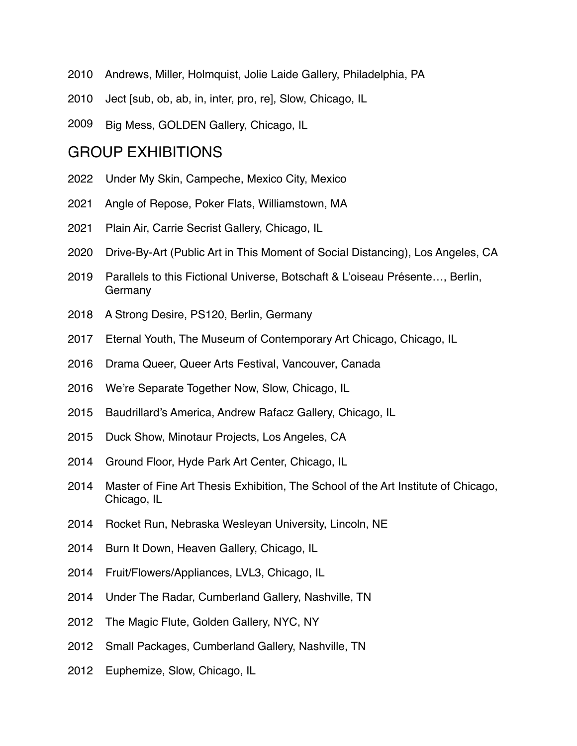- 2010 Andrews, Miller, Holmquist, Jolie Laide Gallery, Philadelphia, PA
- 2010 Ject [sub, ob, ab, in, inter, pro, re], Slow, Chicago, IL
- 2009 Big Mess, GOLDEN Gallery, Chicago, IL

#### GROUP EXHIBITIONS

- 2022 Under My Skin, Campeche, Mexico City, Mexico
- 2021 Angle of Repose, Poker Flats, Williamstown, MA
- 2021 Plain Air, Carrie Secrist Gallery, Chicago, IL
- 2020 Drive-By-Art (Public Art in This Moment of Social Distancing), Los Angeles, CA
- 2019 Parallels to this Fictional Universe, Botschaft & L'oiseau Présente…, Berlin, Germany
- 2018 A Strong Desire, PS120, Berlin, Germany
- 2017 Eternal Youth, The Museum of Contemporary Art Chicago, Chicago, IL
- 2016 Drama Queer, Queer Arts Festival, Vancouver, Canada
- 2016 We're Separate Together Now, Slow, Chicago, IL
- 2015 Baudrillard's America, Andrew Rafacz Gallery, Chicago, IL
- 2015 Duck Show, Minotaur Projects, Los Angeles, CA
- 2014 Ground Floor, Hyde Park Art Center, Chicago, IL
- 2014 Master of Fine Art Thesis Exhibition, The School of the Art Institute of Chicago, Chicago, IL
- 2014 Rocket Run, Nebraska Wesleyan University, Lincoln, NE
- 2014 Burn It Down, Heaven Gallery, Chicago, IL
- 2014 Fruit/Flowers/Appliances, LVL3, Chicago, IL
- 2014 Under The Radar, Cumberland Gallery, Nashville, TN
- 2012 The Magic Flute, Golden Gallery, NYC, NY
- 2012 Small Packages, Cumberland Gallery, Nashville, TN
- 2012 Euphemize, Slow, Chicago, IL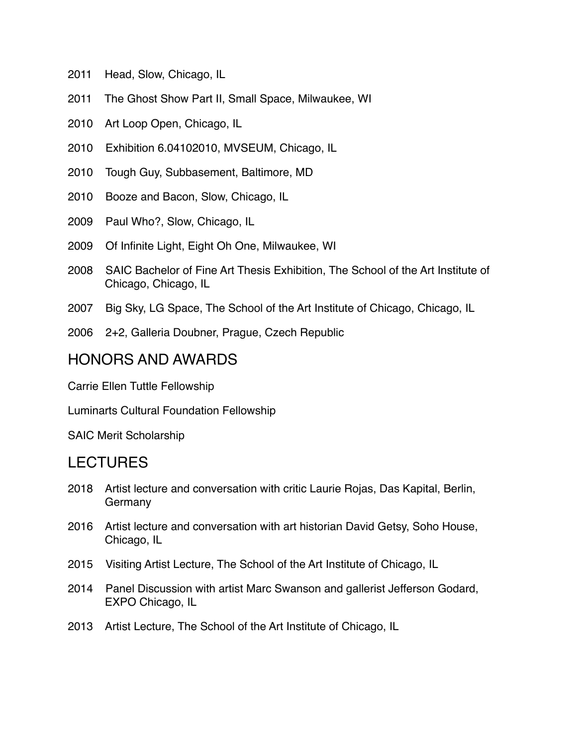- 2011 Head, Slow, Chicago, IL
- 2011 The Ghost Show Part II, Small Space, Milwaukee, WI
- 2010 Art Loop Open, Chicago, IL
- 2010 Exhibition 6.04102010, MVSEUM, Chicago, IL
- 2010 Tough Guy, Subbasement, Baltimore, MD
- 2010 Booze and Bacon, Slow, Chicago, IL
- 2009 Paul Who?, Slow, Chicago, IL
- 2009 Of Infinite Light, Eight Oh One, Milwaukee, WI
- 2008 SAIC Bachelor of Fine Art Thesis Exhibition, The School of the Art Institute of Chicago, Chicago, IL
- 2007 Big Sky, LG Space, The School of the Art Institute of Chicago, Chicago, IL
- 2006 2+2, Galleria Doubner, Prague, Czech Republic

#### HONORS AND AWARDS

Carrie Ellen Tuttle Fellowship

Luminarts Cultural Foundation Fellowship

SAIC Merit Scholarship

### LECTURES

- 2018 Artist lecture and conversation with critic Laurie Rojas, Das Kapital, Berlin, Germany
- 2016 Artist lecture and conversation with art historian David Getsy, Soho House, Chicago, IL
- 2015 Visiting Artist Lecture, The School of the Art Institute of Chicago, IL
- 2014 Panel Discussion with artist Marc Swanson and gallerist Jefferson Godard, EXPO Chicago, IL
- 2013 Artist Lecture, The School of the Art Institute of Chicago, IL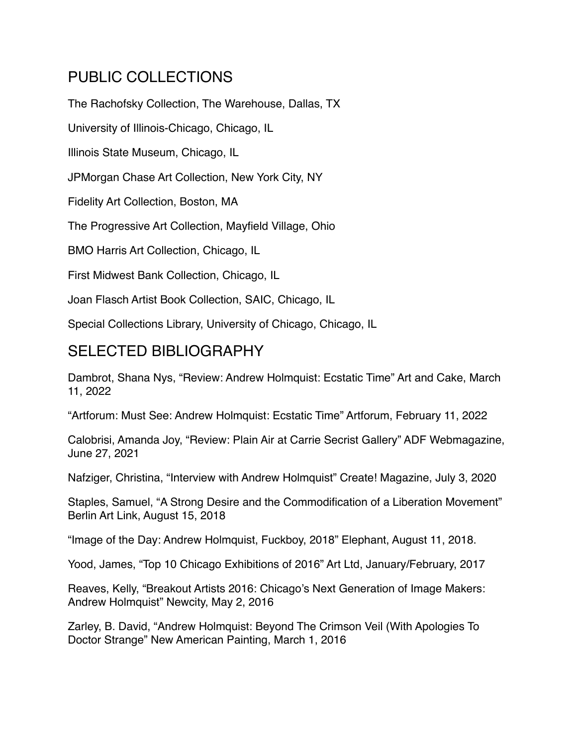## PUBLIC COLLECTIONS

The Rachofsky Collection, The Warehouse, Dallas, TX

University of Illinois-Chicago, Chicago, IL

Illinois State Museum, Chicago, IL

JPMorgan Chase Art Collection, New York City, NY

Fidelity Art Collection, Boston, MA

The Progressive Art Collection, Mayfield Village, Ohio

BMO Harris Art Collection, Chicago, IL

First Midwest Bank Collection, Chicago, IL

Joan Flasch Artist Book Collection, SAIC, Chicago, IL

Special Collections Library, University of Chicago, Chicago, IL

## SELECTED BIBLIOGRAPHY

Dambrot, Shana Nys, "Review: Andrew Holmquist: Ecstatic Time" Art and Cake, March 11, 2022

"Artforum: Must See: Andrew Holmquist: Ecstatic Time" Artforum, February 11, 2022

Calobrisi, Amanda Joy, "Review: Plain Air at Carrie Secrist Gallery" ADF Webmagazine, June 27, 2021

Nafziger, Christina, "Interview with Andrew Holmquist" Create! Magazine, July 3, 2020

Staples, Samuel, "A Strong Desire and the Commodification of a Liberation Movement" Berlin Art Link, August 15, 2018

"Image of the Day: Andrew Holmquist, Fuckboy, 2018" Elephant, August 11, 2018.

Yood, James, "Top 10 Chicago Exhibitions of 2016" Art Ltd, January/February, 2017

Reaves, Kelly, "Breakout Artists 2016: Chicago's Next Generation of Image Makers: Andrew Holmquist" Newcity, May 2, 2016

Zarley, B. David, "Andrew Holmquist: Beyond The Crimson Veil (With Apologies To Doctor Strange" New American Painting, March 1, 2016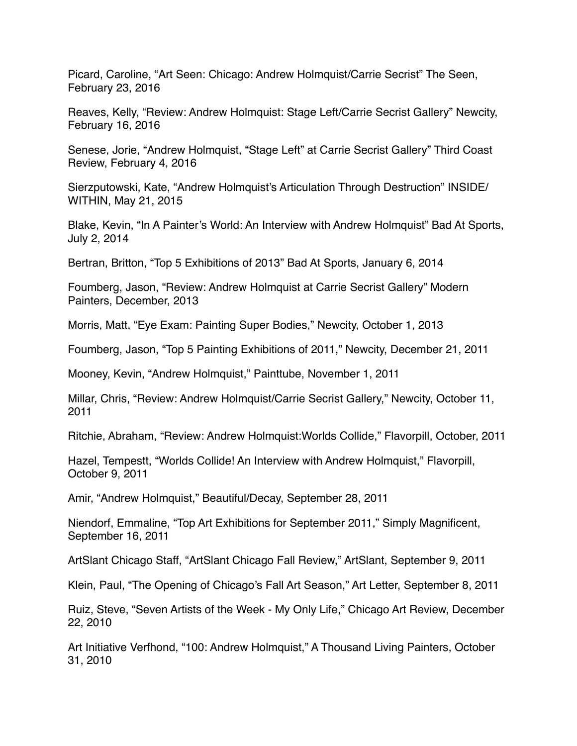Picard, Caroline, "Art Seen: Chicago: Andrew Holmquist/Carrie Secrist" The Seen, February 23, 2016

Reaves, Kelly, "Review: Andrew Holmquist: Stage Left/Carrie Secrist Gallery" Newcity, February 16, 2016

Senese, Jorie, "Andrew Holmquist, "Stage Left" at Carrie Secrist Gallery" Third Coast Review, February 4, 2016

Sierzputowski, Kate, "Andrew Holmquist's Articulation Through Destruction" INSIDE/ WITHIN, May 21, 2015

Blake, Kevin, "In A Painter's World: An Interview with Andrew Holmquist" Bad At Sports, July 2, 2014

Bertran, Britton, "Top 5 Exhibitions of 2013" Bad At Sports, January 6, 2014

Foumberg, Jason, "Review: Andrew Holmquist at Carrie Secrist Gallery" Modern Painters, December, 2013

Morris, Matt, "Eye Exam: Painting Super Bodies," Newcity, October 1, 2013

Foumberg, Jason, "Top 5 Painting Exhibitions of 2011," Newcity, December 21, 2011

Mooney, Kevin, "Andrew Holmquist," Painttube, November 1, 2011

Millar, Chris, "Review: Andrew Holmquist/Carrie Secrist Gallery," Newcity, October 11, 2011

Ritchie, Abraham, "Review: Andrew Holmquist:Worlds Collide," Flavorpill, October, 2011

Hazel, Tempestt, "Worlds Collide! An Interview with Andrew Holmquist," Flavorpill, October 9, 2011

Amir, "Andrew Holmquist," Beautiful/Decay, September 28, 2011

Niendorf, Emmaline, "Top Art Exhibitions for September 2011," Simply Magnificent, September 16, 2011

ArtSlant Chicago Staff, "ArtSlant Chicago Fall Review," ArtSlant, September 9, 2011

Klein, Paul, "The Opening of Chicago's Fall Art Season," Art Letter, September 8, 2011

Ruiz, Steve, "Seven Artists of the Week - My Only Life," Chicago Art Review, December 22, 2010

Art Initiative Verfhond, "100: Andrew Holmquist," A Thousand Living Painters, October 31, 2010